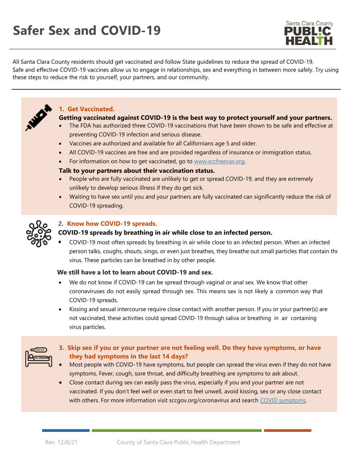# **Safer Sex and COVID-19**



All Santa Clara County residents should get vaccinated and follow State guidelines to reduce the spread of COVID-19. Safe and effective COVID-19 vaccines allow us to engage in relationships, sex and everything in between more safely. Try using these steps to reduce the risk to yourself, your partners, and our community.



## **1. Get Vaccinated.**

### **Getting vaccinated against COVID-19 is the best way to protect yourself and your partners.**

- The FDA has authorized three COVID-19 vaccinations that have been shown to be safe and effective at preventing COVID-19 infection and serious disease.
- Vaccines are authorized and available for all Californians age 5 and older.
- All COVID-19 vaccines are free and are provided regardless of insurance or immigration status.
- For information on how to get vaccinated, go to [www.sccfreevax.org.](http://www.sccfreevax.org/)

#### **Talk to your partners about their vaccination status.**

- People who are fully vaccinated are unlikely to get or spread COVID-19, and they are extremely unlikely to develop serious illness if they do get sick.
- Waiting to have sex until you and your partners are fully vaccinated can significantly reduce the risk of COVID-19 spreading.



# **2. Know how COVID-19 spreads.**

# **COVID-19 spreads by breathing in air while close to an infected person.**

COVID-19 most often spreads by breathing in air while close to an infected person. When an infected person talks, coughs, shouts, sings, or even just breathes, they breathe out small particles that contain the virus. These particles can be breathed in by other people.

## **We still have a lot to learn about COVID-19 and sex.**

- We do not know if COVID-19 can be spread through vaginal or anal sex. We know that other coronaviruses do not easily spread through sex. This means sex is not likely a common way that COVID-19 spreads.
- Kissing and sexual intercourse require close contact with another person. If you or your partner(s) are not vaccinated, these activities could spread COVID-19 through saliva or breathing in air containing virus particles.

- **3. Skip sex if you or your partner are not feeling well. Do they have symptoms, or have they had symptoms in the last 14 days?**
- Most people with COVID-19 have symptoms, but people can spread the virus even if they do not have symptoms. Fever, cough, sore throat, and difficulty breathing are symptoms to ask about.
- Close contact during sex can easily pass the virus, especially if you and your partner are not vaccinated. If you don't feel well or even start to feel unwell, avoid kissing, sex or any close contact with others. For more information visit sccgov.org/coronavirus and search COVID symptoms.